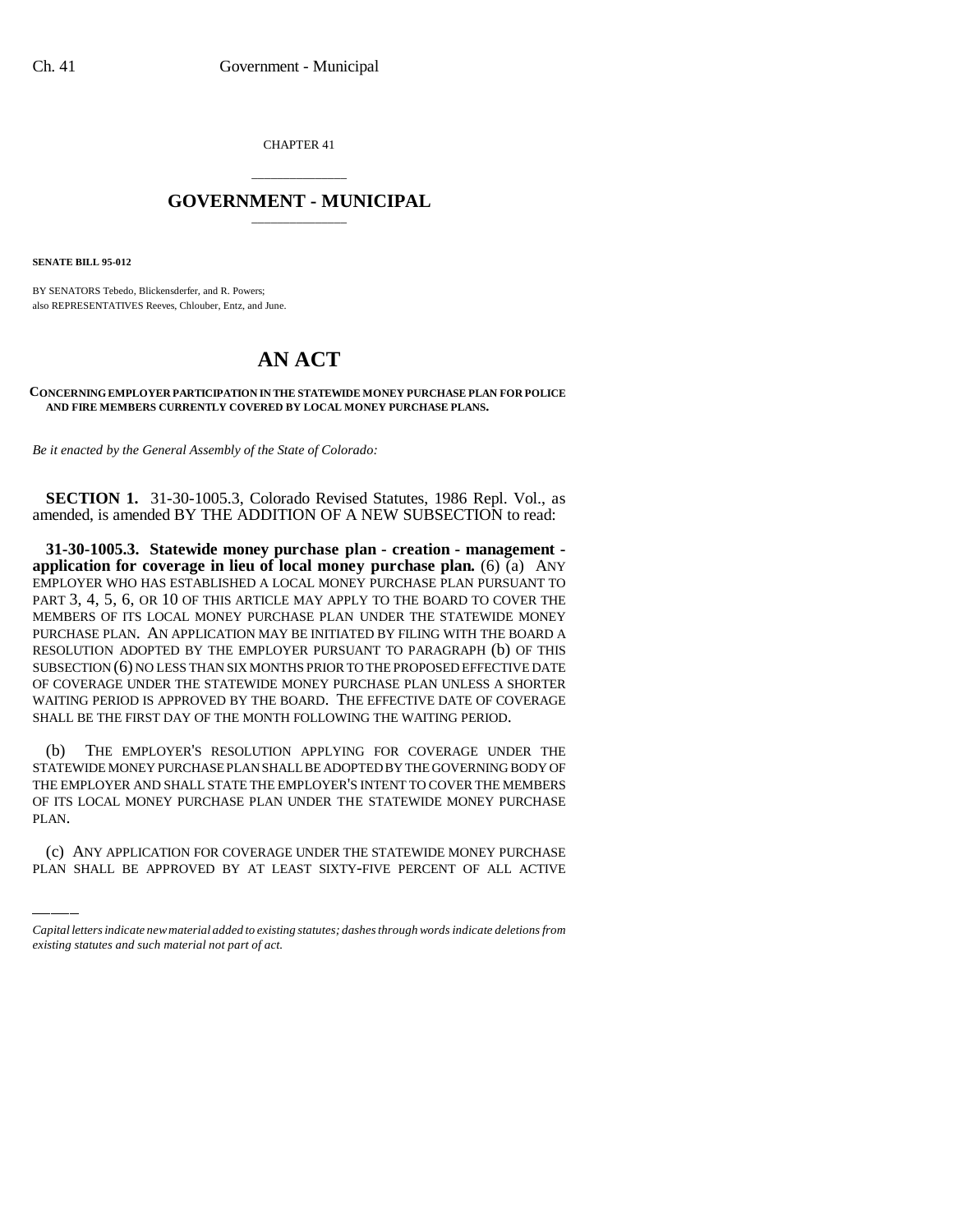CHAPTER 41

## \_\_\_\_\_\_\_\_\_\_\_\_\_\_\_ **GOVERNMENT - MUNICIPAL** \_\_\_\_\_\_\_\_\_\_\_\_\_\_\_

**SENATE BILL 95-012**

BY SENATORS Tebedo, Blickensderfer, and R. Powers; also REPRESENTATIVES Reeves, Chlouber, Entz, and June.

## **AN ACT**

## **CONCERNING EMPLOYER PARTICIPATION IN THE STATEWIDE MONEY PURCHASE PLAN FOR POLICE AND FIRE MEMBERS CURRENTLY COVERED BY LOCAL MONEY PURCHASE PLANS.**

*Be it enacted by the General Assembly of the State of Colorado:*

**SECTION 1.** 31-30-1005.3, Colorado Revised Statutes, 1986 Repl. Vol., as amended, is amended BY THE ADDITION OF A NEW SUBSECTION to read:

**31-30-1005.3. Statewide money purchase plan - creation - management application for coverage in lieu of local money purchase plan.** (6) (a) ANY EMPLOYER WHO HAS ESTABLISHED A LOCAL MONEY PURCHASE PLAN PURSUANT TO PART 3, 4, 5, 6, OR 10 OF THIS ARTICLE MAY APPLY TO THE BOARD TO COVER THE MEMBERS OF ITS LOCAL MONEY PURCHASE PLAN UNDER THE STATEWIDE MONEY PURCHASE PLAN. AN APPLICATION MAY BE INITIATED BY FILING WITH THE BOARD A RESOLUTION ADOPTED BY THE EMPLOYER PURSUANT TO PARAGRAPH (b) OF THIS SUBSECTION (6) NO LESS THAN SIX MONTHS PRIOR TO THE PROPOSED EFFECTIVE DATE OF COVERAGE UNDER THE STATEWIDE MONEY PURCHASE PLAN UNLESS A SHORTER WAITING PERIOD IS APPROVED BY THE BOARD. THE EFFECTIVE DATE OF COVERAGE SHALL BE THE FIRST DAY OF THE MONTH FOLLOWING THE WAITING PERIOD.

OF ITS LOCAL MONEY PURCHASE PLAN UNDER THE STATEWIDE MONEY PURCHASE (b) THE EMPLOYER'S RESOLUTION APPLYING FOR COVERAGE UNDER THE STATEWIDE MONEY PURCHASE PLAN SHALL BE ADOPTED BY THE GOVERNING BODY OF THE EMPLOYER AND SHALL STATE THE EMPLOYER'S INTENT TO COVER THE MEMBERS PLAN.

(c) ANY APPLICATION FOR COVERAGE UNDER THE STATEWIDE MONEY PURCHASE PLAN SHALL BE APPROVED BY AT LEAST SIXTY-FIVE PERCENT OF ALL ACTIVE

*Capital letters indicate new material added to existing statutes; dashes through words indicate deletions from existing statutes and such material not part of act.*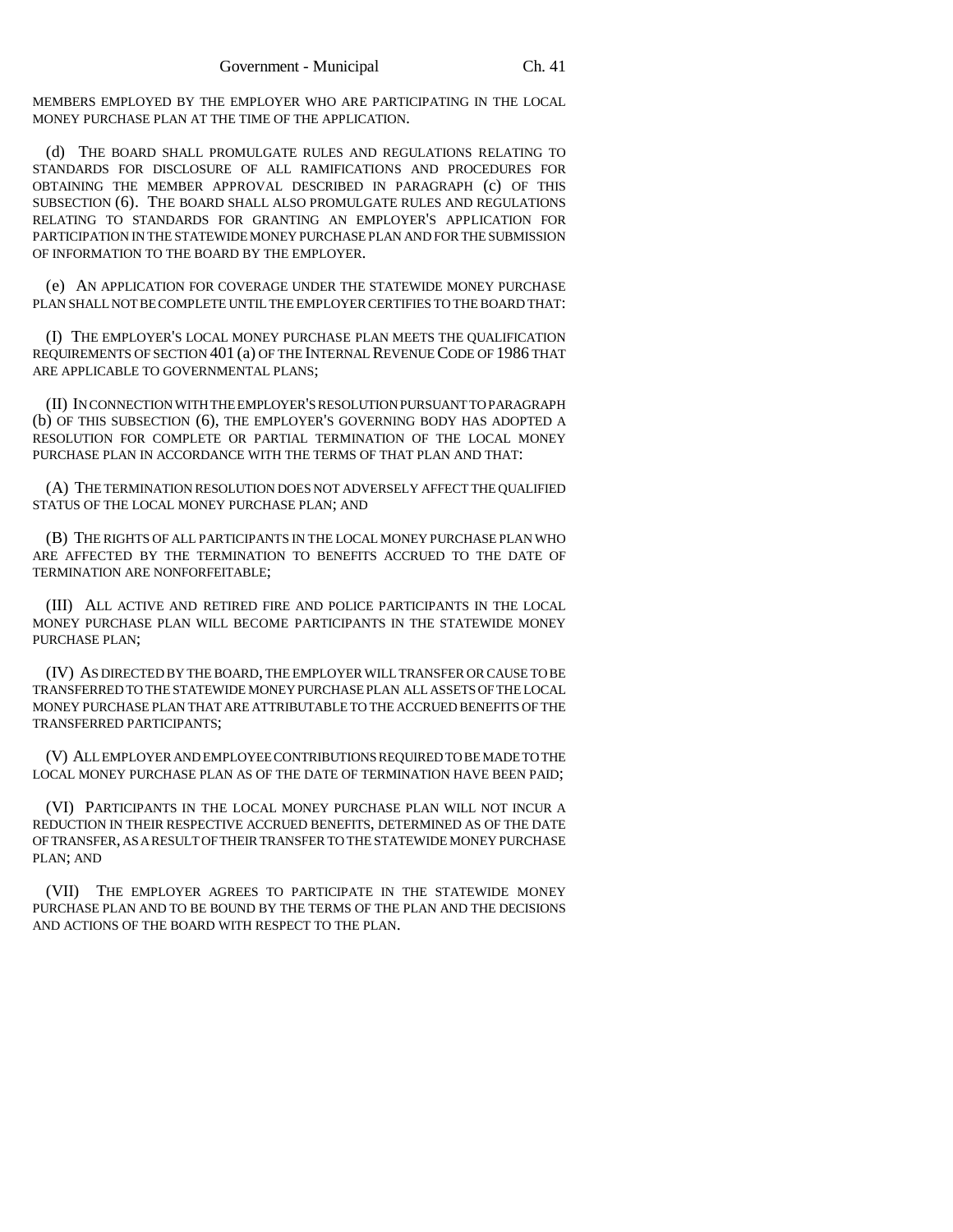MEMBERS EMPLOYED BY THE EMPLOYER WHO ARE PARTICIPATING IN THE LOCAL MONEY PURCHASE PLAN AT THE TIME OF THE APPLICATION.

(d) THE BOARD SHALL PROMULGATE RULES AND REGULATIONS RELATING TO STANDARDS FOR DISCLOSURE OF ALL RAMIFICATIONS AND PROCEDURES FOR OBTAINING THE MEMBER APPROVAL DESCRIBED IN PARAGRAPH (c) OF THIS SUBSECTION (6). THE BOARD SHALL ALSO PROMULGATE RULES AND REGULATIONS RELATING TO STANDARDS FOR GRANTING AN EMPLOYER'S APPLICATION FOR PARTICIPATION IN THE STATEWIDE MONEY PURCHASE PLAN AND FOR THE SUBMISSION OF INFORMATION TO THE BOARD BY THE EMPLOYER.

(e) AN APPLICATION FOR COVERAGE UNDER THE STATEWIDE MONEY PURCHASE PLAN SHALL NOT BE COMPLETE UNTIL THE EMPLOYER CERTIFIES TO THE BOARD THAT:

(I) THE EMPLOYER'S LOCAL MONEY PURCHASE PLAN MEETS THE QUALIFICATION REQUIREMENTS OF SECTION 401 (a) OF THE INTERNAL REVENUE CODE OF 1986 THAT ARE APPLICABLE TO GOVERNMENTAL PLANS;

(II) IN CONNECTION WITH THE EMPLOYER'S RESOLUTION PURSUANT TO PARAGRAPH (b) OF THIS SUBSECTION (6), THE EMPLOYER'S GOVERNING BODY HAS ADOPTED A RESOLUTION FOR COMPLETE OR PARTIAL TERMINATION OF THE LOCAL MONEY PURCHASE PLAN IN ACCORDANCE WITH THE TERMS OF THAT PLAN AND THAT:

(A) THE TERMINATION RESOLUTION DOES NOT ADVERSELY AFFECT THE QUALIFIED STATUS OF THE LOCAL MONEY PURCHASE PLAN; AND

(B) THE RIGHTS OF ALL PARTICIPANTS IN THE LOCAL MONEY PURCHASE PLAN WHO ARE AFFECTED BY THE TERMINATION TO BENEFITS ACCRUED TO THE DATE OF TERMINATION ARE NONFORFEITABLE;

(III) ALL ACTIVE AND RETIRED FIRE AND POLICE PARTICIPANTS IN THE LOCAL MONEY PURCHASE PLAN WILL BECOME PARTICIPANTS IN THE STATEWIDE MONEY PURCHASE PLAN;

(IV) AS DIRECTED BY THE BOARD, THE EMPLOYER WILL TRANSFER OR CAUSE TO BE TRANSFERRED TO THE STATEWIDE MONEY PURCHASE PLAN ALL ASSETS OF THE LOCAL MONEY PURCHASE PLAN THAT ARE ATTRIBUTABLE TO THE ACCRUED BENEFITS OF THE TRANSFERRED PARTICIPANTS;

(V) ALL EMPLOYER AND EMPLOYEE CONTRIBUTIONS REQUIRED TO BE MADE TO THE LOCAL MONEY PURCHASE PLAN AS OF THE DATE OF TERMINATION HAVE BEEN PAID;

(VI) PARTICIPANTS IN THE LOCAL MONEY PURCHASE PLAN WILL NOT INCUR A REDUCTION IN THEIR RESPECTIVE ACCRUED BENEFITS, DETERMINED AS OF THE DATE OF TRANSFER, AS A RESULT OF THEIR TRANSFER TO THE STATEWIDE MONEY PURCHASE PLAN; AND

(VII) THE EMPLOYER AGREES TO PARTICIPATE IN THE STATEWIDE MONEY PURCHASE PLAN AND TO BE BOUND BY THE TERMS OF THE PLAN AND THE DECISIONS AND ACTIONS OF THE BOARD WITH RESPECT TO THE PLAN.